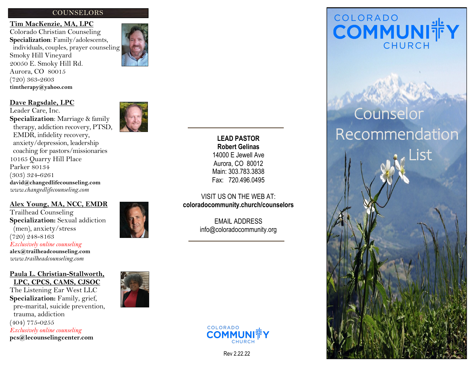# **COUNSELORS**

**Tim MacKenzie, MA, LPC** Colorado Christian Counseling **Specialization**: Family/adolescents, individuals, couples, prayer counseling Smoky Hill Vineyard 20050 E. Smoky Hill Rd. Aurora, CO 80015 (720) 363 -2603 **timtherapy@yahoo.com**



Leader Care, Inc. **Specialization**: Marriage & family therapy, addiction recovery, PTSD, EMDR, infidelity recovery, anxiety/depression, leadership coaching for pastors/missionaries 10165 Quarry Hill Place Parker 80134 (303) 324 -6261 **david@changedlifecounseling.com** *www.changedlifecounseling.com*

## **Alex Young, MA, NCC, EMDR**

Trailhead Counseling **Specialization:** Sexual addiction (men), anxiety/stress (720) 248 -8163 *Exclusively online counseling* **alex@trailheadcounseling.com** *www.trailheadcounseling.com*

**Paula L. Christian -Stallworth, LPC, CPCS, CAMS, CJSOC**

The Listening Ear West LLC **Specialization:** Family, grief, pre -marital, suicide prevention, trauma, addiction (404) 775 -0255 *Exclusively online counseling* **pcs@lecounselingcenter.com** 



**LEAD PASTOR Robert Gelinas** 14000 E Jewell Ave Aurora, CO 80012 Main: 303.783.3838 Fax: 720.496.0495

VISIT US ON THE WEB AT: **coloradocommunity.church/counselors**

> EMAIL ADDRESS info@coloradocommunity.org



Rev 2.22.22

# COLORADO COMMUNI#Y

# Counselor Recommendation List